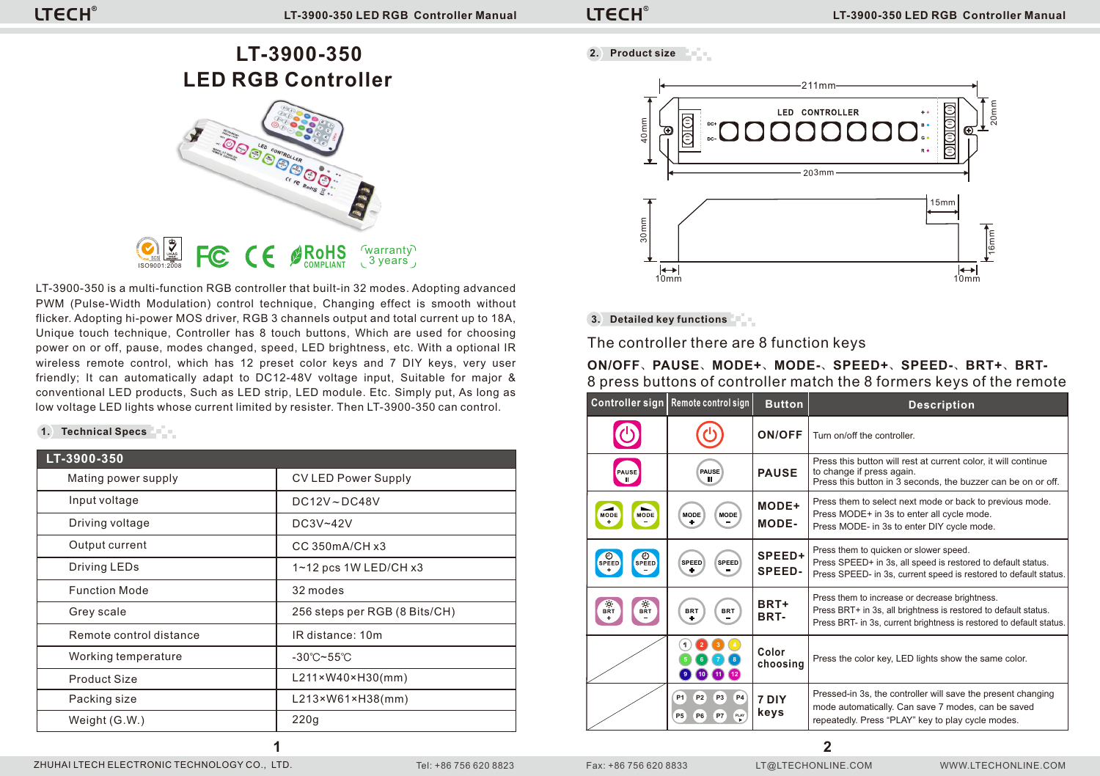**LT-3900-350 LED RGB Controller**



LT-3900-350 is a multi-function RGB controller that built-in 32 modes. Adopting advanced PWM (Pulse-Width Modulation) control technique, Changing effect is smooth without flicker. Adopting hi-power MOS driver, RGB 3 channels output and total current up to 18A, Unique touch technique, Controller has 8 touch buttons, Which are used for choosing power on or off, pause, modes changed, speed, LED brightness, etc. With a optional IR wireless remote control, which has 12 preset color keys and 7 DIY keys, very user friendly; It can automatically adapt to DC12-48V voltage input, Suitable for major & conventional LED products, Such as LED strip, LED module. Etc. Simply put, As long as low voltage LED lights whose current limited by resister. Then LT-3900-350 can control.

## **1. Technical Specs**

| LT-3900-350             |                                   |
|-------------------------|-----------------------------------|
| Mating power supply     | <b>CV LED Power Supply</b>        |
| Input voltage           | $DC12V \sim DC48V$                |
| Driving voltage         | DC3V~42V                          |
| Output current          | CC 350mA/CH x3                    |
| Driving LEDs            | $1 - 12$ pcs $1W$ LED/CH $x3$     |
| <b>Function Mode</b>    | 32 modes                          |
| Grey scale              | 256 steps per RGB (8 Bits/CH)     |
| Remote control distance | IR distance: 10m                  |
| Working temperature     | $-30^{\circ}$ C~55 $^{\circ}$ C   |
| Product Size            | L211×W40×H30(mm)                  |
| Packing size            | $L213 \times W61 \times H38$ (mm) |
| Weight (G.W.)           | 220q                              |

**1**

**2. Product size** bet a



**3. Detailed key functions**

The controller there are 8 function keys

**ON/OFF**、**PAUSE**、**MODE+**、**MODE-**、**SPEED+**、**SPEED-**、**BRT+**、**BRT-**8 press buttons of controller match the 8 formers keys of the remote

|                       | Controller sign Remote control sign                                                             | <b>Button</b>     | <b>Description</b>                                                                                                                                                                       |
|-----------------------|-------------------------------------------------------------------------------------------------|-------------------|------------------------------------------------------------------------------------------------------------------------------------------------------------------------------------------|
|                       |                                                                                                 | ON/OFF            | Turn on/off the controller.                                                                                                                                                              |
| PAUSE                 | <b>PAUSE</b><br>ш                                                                               | <b>PAUSE</b>      | Press this button will rest at current color, it will continue<br>to change if press again.<br>Press this button in 3 seconds, the buzzer can be on or off.                              |
| <b>MODE</b><br>MODE   | <b>MODE</b><br><b>MODE</b>                                                                      | MODE+<br>MODE-    | Press them to select next mode or back to previous mode.<br>Press MODE+ in 3s to enter all cycle mode.<br>Press MODE- in 3s to enter DIY cycle mode.                                     |
| SPEED<br>SPEED        | SPEED<br>SPEED                                                                                  | SPEED+<br>SPEED-  | Press them to quicken or slower speed.<br>Press SPEED+ in 3s, all speed is restored to default status.<br>Press SPEED- in 3s, current speed is restored to default status.               |
| $\frac{Q}{BRT}$<br>RT | <b>BRT</b><br><b>BRT</b>                                                                        | BRT+<br>BRT-      | Press them to increase or decrease brightness.<br>Press BRT+ in 3s, all brightness is restored to default status.<br>Press BRT- in 3s, current brightness is restored to default status. |
|                       |                                                                                                 | Color<br>choosing | Press the color key, LED lights show the same color.                                                                                                                                     |
|                       | <b>P1</b><br>P <sub>2</sub><br>P <sub>3</sub><br><b>P4</b><br>PW.<br>P <sub>5</sub><br>P7<br>P6 | 7 DIY<br>keys     | Pressed-in 3s, the controller will save the present changing<br>mode automatically. Can save 7 modes, can be saved<br>repeatedly. Press "PLAY" key to play cycle modes.                  |

**2**